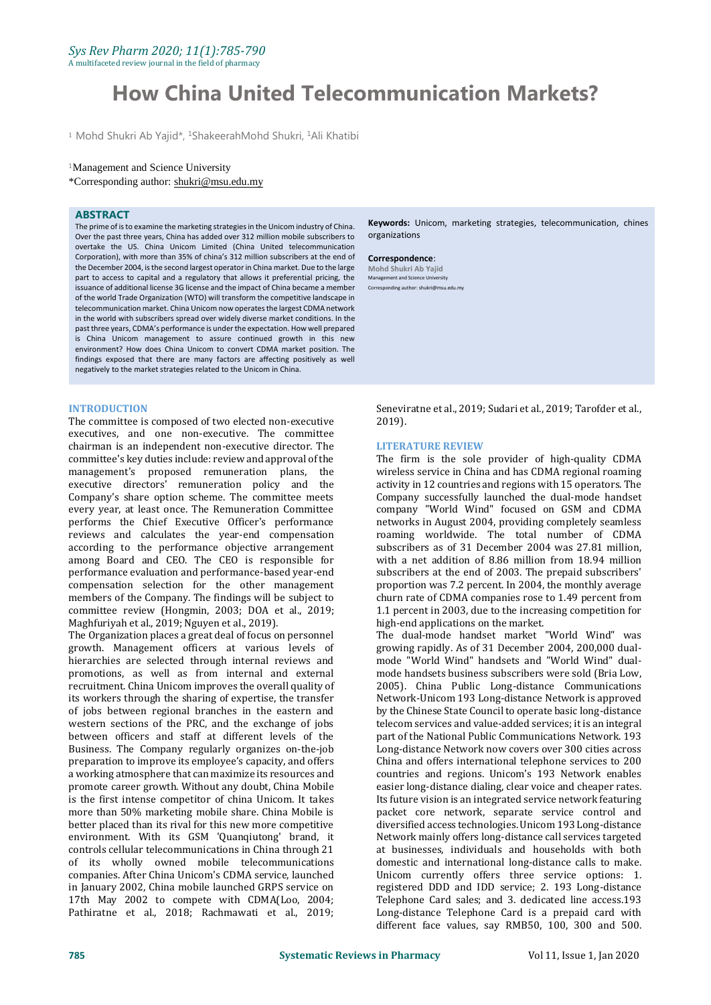A multifaceted review journal in the field of pharmacy

# **How China United Telecommunication Markets?**

<sup>1</sup> Mohd Shukri Ab Yajid\*, <sup>1</sup>ShakeerahMohd Shukri, <sup>1</sup>Ali Khatibi

#### <sup>1</sup>Management and Science University

\*Corresponding author: shukri@msu.edu.my

#### **ABSTRACT**

The prime of is to examine the marketing strategies in the Unicom industry of China. Over the past three years, China has added over 312 million mobile subscribers to overtake the US. China Unicom Limited (China United telecommunication Corporation), with more than 35% of china's 312 million subscribers at the end of the December 2004, is the second largest operator in China market. Due to the large part to access to capital and a regulatory that allows it preferential pricing, the issuance of additional license 3G license and the impact of China became a member of the world Trade Organization (WTO) will transform the competitive landscape in telecommunication market. China Unicom now operates the largest CDMA network in the world with subscribers spread over widely diverse market conditions. In the past three years, CDMA's performance is under the expectation. How well prepared is China Unicom management to assure continued growth in this new environment? How does China Unicom to convert CDMA market position. The findings exposed that there are many factors are affecting positively as well negatively to the market strategies related to the Unicom in China.

#### **INTRODUCTION**

The committee is composed of two elected non-executive executives, and one non-executive. The committee chairman is an independent non-executive director. The committee's key duties include: review and approval of the management's proposed remuneration plans, the executive directors' remuneration policy and the Company's share option scheme. The committee meets every year, at least once. The Remuneration Committee performs the Chief Executive Officer's performance reviews and calculates the year-end compensation according to the performance objective arrangement among Board and CEO. The CEO is responsible for performance evaluation and performance-based year-end compensation selection for the other management members of the Company. The findings will be subject to committee review (Hongmin, 2003; DOA et al., 2019; Maghfuriyah et al., 2019; Nguyen et al., 2019).

The Organization places a great deal of focus on personnel growth. Management officers at various levels of hierarchies are selected through internal reviews and promotions, as well as from internal and external recruitment. China Unicom improves the overall quality of its workers through the sharing of expertise, the transfer of jobs between regional branches in the eastern and western sections of the PRC, and the exchange of jobs between officers and staff at different levels of the Business. The Company regularly organizes on-the-job preparation to improve its employee's capacity, and offers a working atmosphere that can maximize its resources and promote career growth. Without any doubt, China Mobile is the first intense competitor of china Unicom. It takes more than 50% marketing mobile share. China Mobile is better placed than its rival for this new more competitive environment. With its GSM 'Quanqiutong' brand, it controls cellular telecommunications in China through 21 of its wholly owned mobile telecommunications companies. After China Unicom's CDMA service, launched in January 2002, China mobile launched GRPS service on 17th May 2002 to compete with CDMA(Loo, 2004; Pathiratne et al., 2018; Rachmawati et al., 2019;

**Keywords:** Unicom, marketing strategies, telecommunication, chines organizations

#### **Correspondence**:

**Mohd Shukri Ab Yajid** Management and Science University Corresponding author: shukri@msu.edu.my

Seneviratne et al., 2019; Sudari et al., 2019; Tarofder et al., 2019).

#### **LITERATURE REVIEW**

The firm is the sole provider of high-quality CDMA wireless service in China and has CDMA regional roaming activity in 12 countries and regions with 15 operators. The Company successfully launched the dual-mode handset company "World Wind" focused on GSM and CDMA networks in August 2004, providing completely seamless roaming worldwide. The total number of CDMA subscribers as of 31 December 2004 was 27.81 million, with a net addition of 8.86 million from 18.94 million subscribers at the end of 2003. The prepaid subscribers' proportion was 7.2 percent. In 2004, the monthly average churn rate of CDMA companies rose to 1.49 percent from 1.1 percent in 2003, due to the increasing competition for high-end applications on the market.

The dual-mode handset market "World Wind" was growing rapidly. As of 31 December 2004, 200,000 dualmode "World Wind" handsets and "World Wind" dualmode handsets business subscribers were sold (Bria Low, 2005). China Public Long-distance Communications Network-Unicom 193 Long-distance Network is approved by the Chinese State Council to operate basic long-distance telecom services and value-added services; it is an integral part of the National Public Communications Network. 193 Long-distance Network now covers over 300 cities across China and offers international telephone services to 200 countries and regions. Unicom's 193 Network enables easier long-distance dialing, clear voice and cheaper rates. Its future vision is an integrated service network featuring packet core network, separate service control and diversified access technologies. Unicom 193 Long-distance Network mainly offers long-distance call services targeted at businesses, individuals and households with both domestic and international long-distance calls to make. Unicom currently offers three service options: 1. registered DDD and IDD service; 2. 193 Long-distance Telephone Card sales; and 3. dedicated line access.193 Long-distance Telephone Card is a prepaid card with different face values, say RMB50, 100, 300 and 500.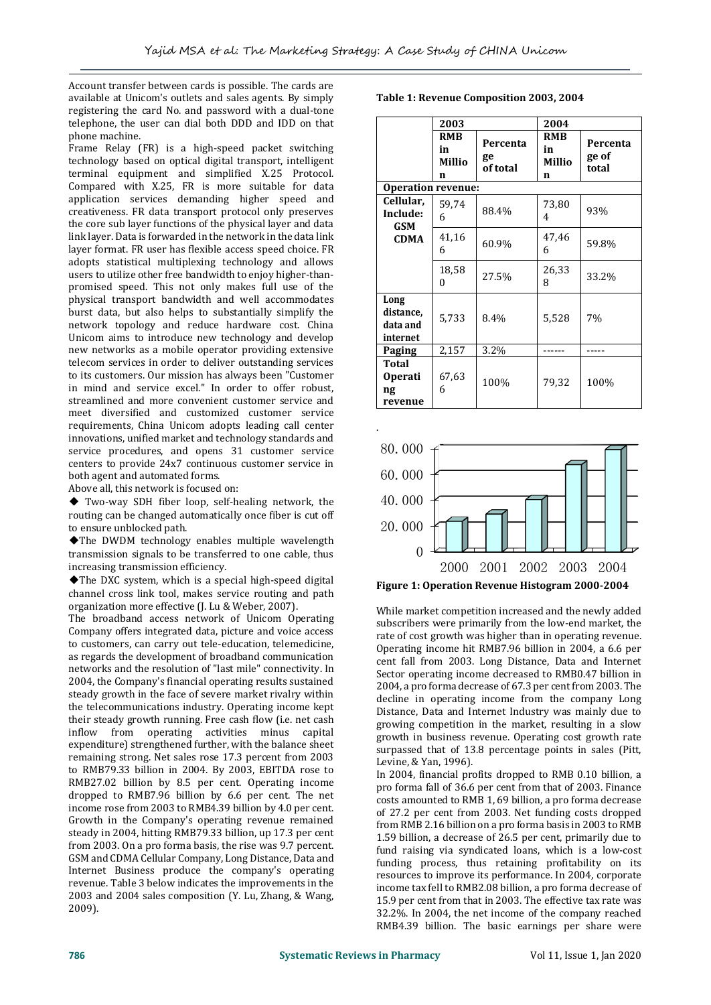.

Account transfer between cards is possible. The cards are available at Unicom's outlets and sales agents. By simply registering the card No. and password with a dual-tone telephone, the user can dial both DDD and IDD on that phone machine.

Frame Relay (FR) is a high-speed packet switching technology based on optical digital transport, intelligent terminal equipment and simplified X.25 Protocol. Compared with X.25, FR is more suitable for data application services demanding higher speed and creativeness. FR data transport protocol only preserves the core sub layer functions of the physical layer and data link layer. Data is forwarded in the network in the data link layer format. FR user has flexible access speed choice. FR adopts statistical multiplexing technology and allows users to utilize other free bandwidth to enjoy higher-thanpromised speed. This not only makes full use of the physical transport bandwidth and well accommodates burst data, but also helps to substantially simplify the network topology and reduce hardware cost. China Unicom aims to introduce new technology and develop new networks as a mobile operator providing extensive telecom services in order to deliver outstanding services to its customers. Our mission has always been "Customer in mind and service excel." In order to offer robust, streamlined and more convenient customer service and meet diversified and customized customer service requirements, China Unicom adopts leading call center innovations, unified market and technology standards and service procedures, and opens 31 customer service centers to provide 24x7 continuous customer service in both agent and automated forms.

Above all, this network is focused on:

◆ Two-way SDH fiber loop, self-healing network, the routing can be changed automatically once fiber is cut off to ensure unblocked path.

◆The DWDM technology enables multiple wavelength transmission signals to be transferred to one cable, thus increasing transmission efficiency.

◆The DXC system, which is a special high-speed digital channel cross link tool, makes service routing and path organization more effective (J. Lu & Weber, 2007).

The broadband access network of Unicom Operating Company offers integrated data, picture and voice access to customers, can carry out tele-education, telemedicine, as regards the development of broadband communication networks and the resolution of "last mile" connectivity. In 2004, the Company's financial operating results sustained steady growth in the face of severe market rivalry within the telecommunications industry. Operating income kept their steady growth running. Free cash flow (i.e. net cash inflow from operating activities minus capital expenditure) strengthened further, with the balance sheet remaining strong. Net sales rose 17.3 percent from 2003 to RMB79.33 billion in 2004. By 2003, EBITDA rose to RMB27.02 billion by 8.5 per cent. Operating income dropped to RMB7.96 billion by 6.6 per cent. The net income rose from 2003 to RMB4.39 billion by 4.0 per cent. Growth in the Company's operating revenue remained steady in 2004, hitting RMB79.33 billion, up 17.3 per cent from 2003. On a pro forma basis, the rise was 9.7 percent. GSM and CDMA Cellular Company, Long Distance, Data and Internet Business produce the company's operating revenue. Table 3 below indicates the improvements in the 2003 and 2004 sales composition (Y. Lu, Zhang, & Wang, 2009).

**Table 1: Revenue Composition 2003, 2004**

|                                           | 2003                            |                            | 2004                            |                            |  |
|-------------------------------------------|---------------------------------|----------------------------|---------------------------------|----------------------------|--|
|                                           | <b>RMB</b><br>in<br>Millio<br>n | Percenta<br>ge<br>of total | <b>RMB</b><br>in<br>Millio<br>n | Percenta<br>ge of<br>total |  |
| Operation revenue:                        |                                 |                            |                                 |                            |  |
| Cellular,<br>Include:<br>GSM              | 59,74<br>6                      | 88.4%                      | 73,80<br>4                      | 93%                        |  |
| <b>CDMA</b>                               | 41,16<br>6                      | 60.9%                      | 47,46<br>6                      | 59.8%                      |  |
|                                           | 18,58<br>0                      | 27.5%                      | 26,33<br>8                      | 33.2%                      |  |
| Long<br>distance,<br>data and<br>internet | 5,733                           | 8.4%                       | 5,528                           | 7%                         |  |
| Paging                                    | 2,157                           | 3.2%                       |                                 |                            |  |
| Total<br><b>Operati</b><br>ng<br>revenue  | 67,63<br>6                      | 100%                       | 79,32                           | 100%                       |  |



While market competition increased and the newly added subscribers were primarily from the low-end market, the rate of cost growth was higher than in operating revenue. Operating income hit RMB7.96 billion in 2004, a 6.6 per cent fall from 2003. Long Distance, Data and Internet Sector operating income decreased to RMB0.47 billion in 2004, a pro forma decrease of 67.3 per cent from 2003. The decline in operating income from the company Long Distance, Data and Internet Industry was mainly due to growing competition in the market, resulting in a slow growth in business revenue. Operating cost growth rate surpassed that of 13.8 percentage points in sales (Pitt, Levine, & Yan, 1996).

In 2004, financial profits dropped to RMB 0.10 billion, a pro forma fall of 36.6 per cent from that of 2003. Finance costs amounted to RMB 1, 69 billion, a pro forma decrease of 27.2 per cent from 2003. Net funding costs dropped from RMB 2.16 billion on a pro forma basis in 2003 to RMB 1.59 billion, a decrease of 26.5 per cent, primarily due to fund raising via syndicated loans, which is a low-cost funding process, thus retaining profitability on its resources to improve its performance. In 2004, corporate income tax fell to RMB2.08 billion, a pro forma decrease of 15.9 per cent from that in 2003. The effective tax rate was 32.2%. In 2004, the net income of the company reached RMB4.39 billion. The basic earnings per share were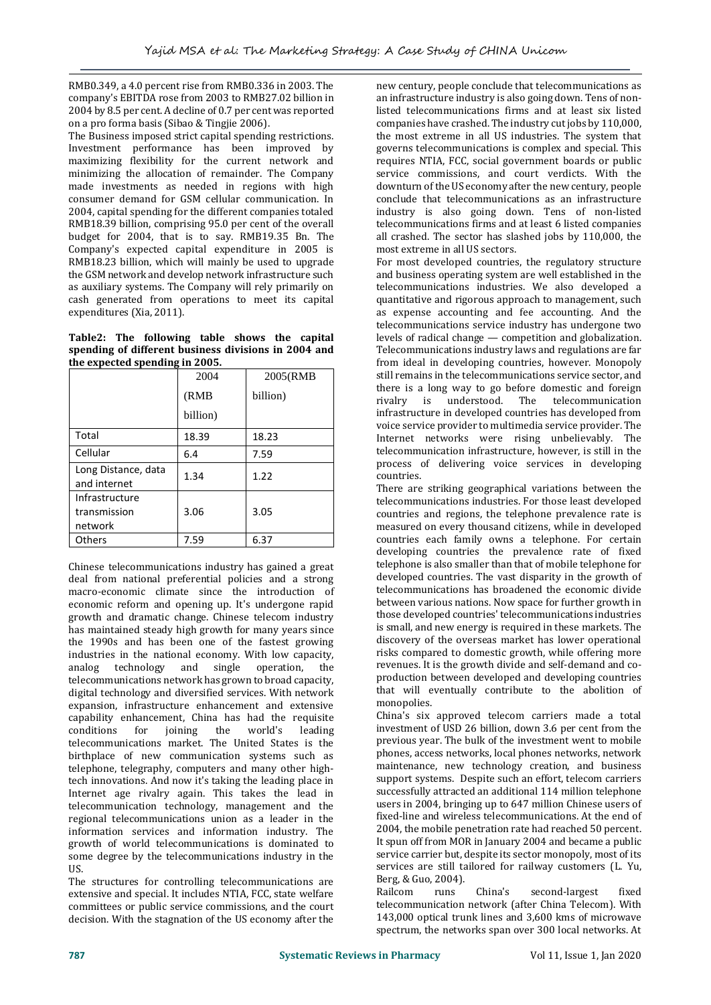RMB0.349, a 4.0 percent rise from RMB0.336 in 2003. The company's EBITDA rose from 2003 to RMB27.02 billion in 2004 by 8.5 per cent. A decline of 0.7 per cent was reported on a pro forma basis (Sibao & Tingjie 2006).

The Business imposed strict capital spending restrictions. Investment performance has been improved by maximizing flexibility for the current network and minimizing the allocation of remainder. The Company made investments as needed in regions with high consumer demand for GSM cellular communication. In 2004, capital spending for the different companies totaled RMB18.39 billion, comprising 95.0 per cent of the overall budget for 2004, that is to say. RMB19.35 Bn. The Company's expected capital expenditure in 2005 is RMB18.23 billion, which will mainly be used to upgrade the GSM network and develop network infrastructure such as auxiliary systems. The Company will rely primarily on cash generated from operations to meet its capital expenditures (Xia, 2011).

## **Table2: The following table shows the capital spending of different business divisions in 2004 and the expected spending in 2005.**

|                                           | 2004              | 2005(RMB |
|-------------------------------------------|-------------------|----------|
|                                           | (RMB)<br>billion) | billion) |
|                                           |                   |          |
| Total                                     | 18.39             | 18.23    |
| Cellular                                  | 6.4               | 7.59     |
| Long Distance, data<br>and internet       | 1.34              | 1.22     |
| Infrastructure<br>transmission<br>network | 3.06              | 3.05     |
| <b>Others</b>                             | 7.59              | 6.37     |

Chinese telecommunications industry has gained a great deal from national preferential policies and a strong macro-economic climate since the introduction of economic reform and opening up. It's undergone rapid growth and dramatic change. Chinese telecom industry has maintained steady high growth for many years since the 1990s and has been one of the fastest growing industries in the national economy. With low capacity, analog technology and single operation, the telecommunications network has grown to broad capacity, digital technology and diversified services. With network expansion, infrastructure enhancement and extensive capability enhancement, China has had the requisite conditions for joining the world's leading telecommunications market. The United States is the birthplace of new communication systems such as telephone, telegraphy, computers and many other hightech innovations. And now it's taking the leading place in Internet age rivalry again. This takes the lead in telecommunication technology, management and the regional telecommunications union as a leader in the information services and information industry. The growth of world telecommunications is dominated to some degree by the telecommunications industry in the US.

The structures for controlling telecommunications are extensive and special. It includes NTIA, FCC, state welfare committees or public service commissions, and the court decision. With the stagnation of the US economy after the

new century, people conclude that telecommunications as an infrastructure industry is also going down. Tens of nonlisted telecommunications firms and at least six listed companies have crashed. The industry cut jobs by 110,000, the most extreme in all US industries. The system that governs telecommunications is complex and special. This requires NTIA, FCC, social government boards or public service commissions, and court verdicts. With the downturn of the US economy after the new century, people conclude that telecommunications as an infrastructure industry is also going down. Tens of non-listed telecommunications firms and at least 6 listed companies all crashed. The sector has slashed jobs by 110,000, the most extreme in all US sectors.

For most developed countries, the regulatory structure and business operating system are well established in the telecommunications industries. We also developed a quantitative and rigorous approach to management, such as expense accounting and fee accounting. And the telecommunications service industry has undergone two levels of radical change — competition and globalization. Telecommunications industry laws and regulations are far from ideal in developing countries, however. Monopoly still remains in the telecommunications service sector, and there is a long way to go before domestic and foreign rivalry is understood. The telecommunication infrastructure in developed countries has developed from voice service provider to multimedia service provider. The Internet networks were rising unbelievably. The telecommunication infrastructure, however, is still in the process of delivering voice services in developing countries.

There are striking geographical variations between the telecommunications industries. For those least developed countries and regions, the telephone prevalence rate is measured on every thousand citizens, while in developed countries each family owns a telephone. For certain developing countries the prevalence rate of fixed telephone is also smaller than that of mobile telephone for developed countries. The vast disparity in the growth of telecommunications has broadened the economic divide between various nations. Now space for further growth in those developed countries' telecommunications industries is small, and new energy is required in these markets. The discovery of the overseas market has lower operational risks compared to domestic growth, while offering more revenues. It is the growth divide and self-demand and coproduction between developed and developing countries that will eventually contribute to the abolition of monopolies.

China's six approved telecom carriers made a total investment of USD 26 billion, down 3.6 per cent from the previous year. The bulk of the investment went to mobile phones, access networks, local phones networks, network maintenance, new technology creation, and business support systems. Despite such an effort, telecom carriers successfully attracted an additional 114 million telephone users in 2004, bringing up to 647 million Chinese users of fixed-line and wireless telecommunications. At the end of 2004, the mobile penetration rate had reached 50 percent. It spun off from MOR in January 2004 and became a public service carrier but, despite its sector monopoly, most of its services are still tailored for railway customers (L. Yu, Berg, & Guo, 2004).

Railcom runs China's second-largest fixed telecommunication network (after China Telecom). With 143,000 optical trunk lines and 3,600 kms of microwave spectrum, the networks span over 300 local networks. At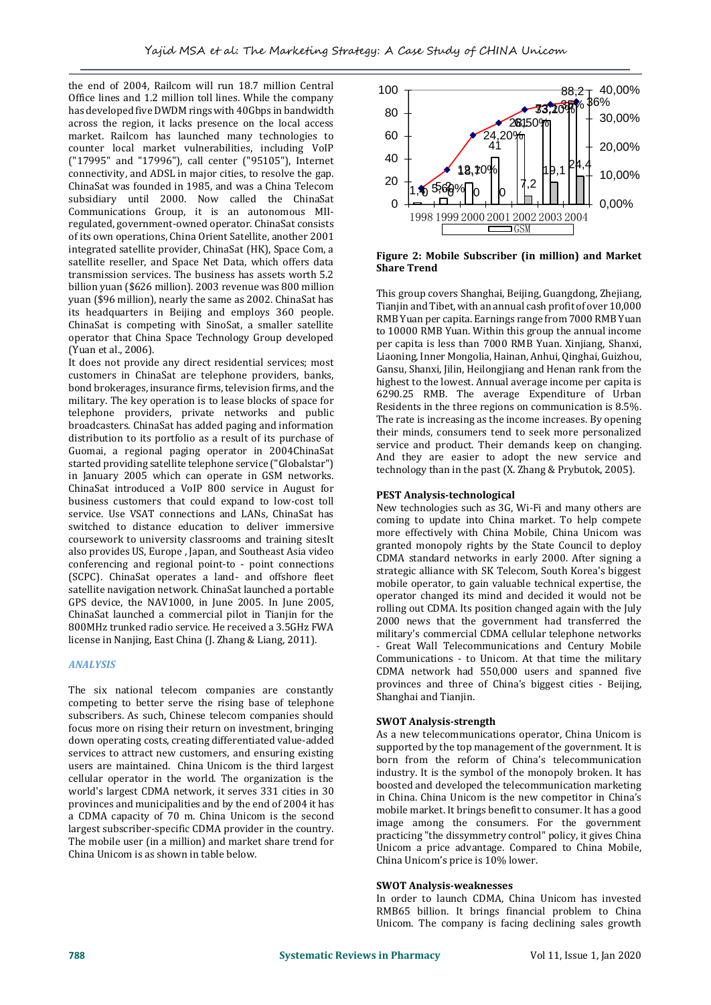the end of 2004, Railcom will run 18.7 million Central Office lines and 1.2 million toll lines. While the company has developed five DWDM rings with 40Gbps in bandwidth across the region, it lacks presence on the local access market. Railcom has launched many technologies to counter local market vulnerabilities, including VoIP ("17995" and "17996"), call center ("95105"), Internet connectivity, and ADSL in major cities, to resolve the gap. ChinaSat was founded in 1985, and was a China Telecom subsidiary until 2000. Now called the ChinaSat Communications Group, it is an autonomous MIIregulated, government-owned operator. ChinaSat consists of its own operations, China Orient Satellite, another 2001 integrated satellite provider, ChinaSat (HK), Space Com, a satellite reseller, and Space Net Data, which offers data transmission services. The business has assets worth 5.2 billion yuan (\$626 million). 2003 revenue was 800 million yuan (\$96 million), nearly the same as 2002. ChinaSat has its headquarters in Beijing and employs 360 people. ChinaSat is competing with SinoSat, a smaller satellite operator that China Space Technology Group developed (Yuan et al., 2006).

It does not provide any direct residential services; most customers in ChinaSat are telephone providers, banks, bond brokerages, insurance firms, television firms, and the military. The key operation is to lease blocks of space for telephone providers, private networks and public broadcasters. ChinaSat has added paging and information distribution to its portfolio as a result of its purchase of Guomai, a regional paging operator in 2004ChinaSat started providing satellite telephone service ("Globalstar") in January 2005 which can operate in GSM networks. ChinaSat introduced a VoIP 800 service in August for business customers that could expand to low-cost toll service. Use VSAT connections and LANs, ChinaSat has switched to distance education to deliver immersive coursework to university classrooms and training sitesIt also provides US, Europe , Japan, and Southeast Asia video conferencing and regional point-to - point connections (SCPC). ChinaSat operates a land- and offshore fleet satellite navigation network. ChinaSat launched a portable GPS device, the NAV1000, in June 2005. In June 2005, ChinaSat launched a commercial pilot in Tianjin for the 800MHz trunked radio service. He received a 3.5GHz FWA license in Nanjing, East China (J. Zhang & Liang, 2011).

## *ANALYSIS*

The six national telecom companies are constantly competing to better serve the rising base of telephone subscribers. As such, Chinese telecom companies should focus more on rising their return on investment, bringing down operating costs, creating differentiated value-added services to attract new customers, and ensuring existing users are maintained. China Unicom is the third largest cellular operator in the world. The organization is the world's largest CDMA network, it serves 331 cities in 30 provinces and municipalities and by the end of 2004 it has a CDMA capacity of 70 m. China Unicom is the second largest subscriber-specific CDMA provider in the country. The mobile user (in a million) and market share trend for China Unicom is as shown in table below.



**Figure 2: Mobile Subscriber (in million) and Market Share Trend**

This group covers Shanghai, Beijing, Guangdong, Zhejiang, Tianjin and Tibet, with an annual cash profit of over 10,000 RMB Yuan per capita. Earnings range from 7000 RMB Yuan to 10000 RMB Yuan. Within this group the annual income per capita is less than 7000 RMB Yuan. Xinjiang, Shanxi, Liaoning, Inner Mongolia, Hainan, Anhui, Qinghai, Guizhou, Gansu, Shanxi, Jilin, Heilongjiang and Henan rank from the highest to the lowest. Annual average income per capita is 6290.25 RMB. The average Expenditure of Urban Residents in the three regions on communication is 8.5%. The rate is increasing as the income increases. By opening their minds, consumers tend to seek more personalized service and product. Their demands keep on changing. And they are easier to adopt the new service and technology than in the past (X. Zhang & Prybutok, 2005).

## **PEST Analysis-technological**

New technologies such as 3G, Wi-Fi and many others are coming to update into China market. To help compete more effectively with China Mobile, China Unicom was granted monopoly rights by the State Council to deploy CDMA standard networks in early 2000. After signing a strategic alliance with SK Telecom, South Korea's biggest mobile operator, to gain valuable technical expertise, the operator changed its mind and decided it would not be rolling out CDMA. Its position changed again with the July 2000 news that the government had transferred the military's commercial CDMA cellular telephone networks - Great Wall Telecommunications and Century Mobile Communications - to Unicom. At that time the military CDMA network had 550,000 users and spanned five provinces and three of China's biggest cities - Beijing, Shanghai and Tianjin.

# **SWOT Analysis-strength**

As a new telecommunications operator, China Unicom is supported by the top management of the government. It is born from the reform of China's telecommunication industry. It is the symbol of the monopoly broken. It has boosted and developed the telecommunication marketing in China. China Unicom is the new competitor in China's mobile market. It brings benefit to consumer. It has a good image among the consumers. For the government practicing "the dissymmetry control" policy, it gives China Unicom a price advantage. Compared to China Mobile, China Unicom's price is 10% lower.

## **SWOT Analysis-weaknesses**

In order to launch CDMA, China Unicom has invested RMB65 billion. It brings financial problem to China Unicom. The company is facing declining sales growth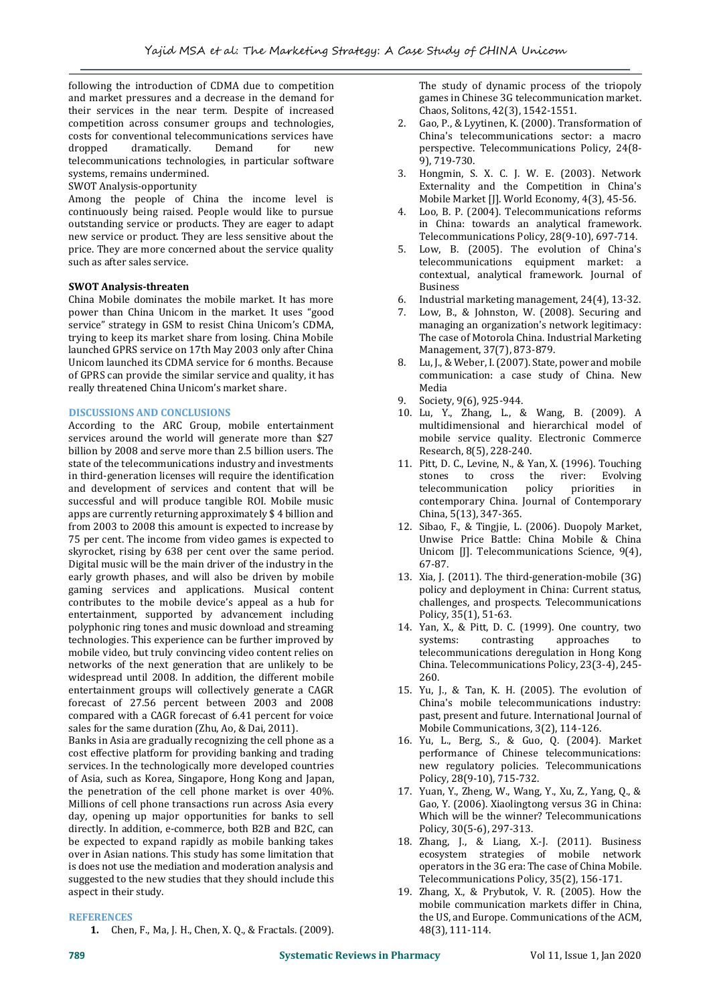following the introduction of CDMA due to competition and market pressures and a decrease in the demand for their services in the near term. Despite of increased competition across consumer groups and technologies, costs for conventional telecommunications services have dropped dramatically. Demand for new telecommunications technologies, in particular software systems, remains undermined.

## SWOT Analysis-opportunity

Among the people of China the income level is continuously being raised. People would like to pursue outstanding service or products. They are eager to adapt new service or product. They are less sensitive about the price. They are more concerned about the service quality such as after sales service.

## **SWOT Analysis-threaten**

China Mobile dominates the mobile market. It has more power than China Unicom in the market. It uses "good service" strategy in GSM to resist China Unicom's CDMA, trying to keep its market share from losing. China Mobile launched GPRS service on 17th May 2003 only after China Unicom launched its CDMA service for 6 months. Because of GPRS can provide the similar service and quality, it has really threatened China Unicom's market share.

## **DISCUSSIONS AND CONCLUSIONS**

According to the ARC Group, mobile entertainment services around the world will generate more than \$27 billion by 2008 and serve more than 2.5 billion users. The state of the telecommunications industry and investments in third-generation licenses will require the identification and development of services and content that will be successful and will produce tangible ROI. Mobile music apps are currently returning approximately \$ 4 billion and from 2003 to 2008 this amount is expected to increase by 75 per cent. The income from video games is expected to skyrocket, rising by 638 per cent over the same period. Digital music will be the main driver of the industry in the early growth phases, and will also be driven by mobile gaming services and applications. Musical content contributes to the mobile device's appeal as a hub for entertainment, supported by advancement including polyphonic ring tones and music download and streaming technologies. This experience can be further improved by mobile video, but truly convincing video content relies on networks of the next generation that are unlikely to be widespread until 2008. In addition, the different mobile entertainment groups will collectively generate a CAGR forecast of 27.56 percent between 2003 and 2008 compared with a CAGR forecast of 6.41 percent for voice sales for the same duration (Zhu, Ao, & Dai, 2011).

Banks in Asia are gradually recognizing the cell phone as a cost effective platform for providing banking and trading services. In the technologically more developed countries of Asia, such as Korea, Singapore, Hong Kong and Japan, the penetration of the cell phone market is over 40%. Millions of cell phone transactions run across Asia every day, opening up major opportunities for banks to sell directly. In addition, e-commerce, both B2B and B2C, can be expected to expand rapidly as mobile banking takes over in Asian nations. This study has some limitation that is does not use the mediation and moderation analysis and suggested to the new studies that they should include this aspect in their study.

## **REFERENCES**

**1.** Chen, F., Ma, J. H., Chen, X. Q., & Fractals. (2009).

The study of dynamic process of the triopoly games in Chinese 3G telecommunication market. Chaos, Solitons, 42(3), 1542-1551.

- 2. Gao, P., & Lyytinen, K. (2000). Transformation of China's telecommunications sector: a macro perspective. Telecommunications Policy, 24(8- 9), 719-730.
- 3. Hongmin, S. X. C. J. W. E. (2003). Network Externality and the Competition in China's Mobile Market [J]. World Economy, 4(3), 45-56.
- 4. Loo, B. P. (2004). Telecommunications reforms in China: towards an analytical framework. Telecommunications Policy, 28(9-10), 697-714.
- 5. Low, B. (2005). The evolution of China's telecommunications equipment market: a contextual, analytical framework. Journal of Business
- 6. Industrial marketing management, 24(4), 13-32.
- 7. Low, B., & Johnston, W. (2008). Securing and managing an organization's network legitimacy: The case of Motorola China. Industrial Marketing Management, 37(7), 873-879.
- 8. Lu, J., & Weber, I. (2007). State, power and mobile communication: a case study of China. New Media
- Society, 9(6), 925-944.
- 10. Lu, Y., Zhang, L., & Wang, B. (2009). A multidimensional and hierarchical model of mobile service quality. Electronic Commerce Research, 8(5), 228-240.
- 11. Pitt, D. C., Levine, N., & Yan, X. (1996). Touching stones to cross the river: Evolving telecommunication policy priorities in contemporary China. Journal of Contemporary China, 5(13), 347-365.
- 12. Sibao, F., & Tingjie, L. (2006). Duopoly Market, Unwise Price Battle: China Mobile & China Unicom [J]. Telecommunications Science, 9(4), 67-87.
- 13. Xia, J. (2011). The third-generation-mobile (3G) policy and deployment in China: Current status, challenges, and prospects. Telecommunications Policy, 35(1), 51-63.
- 14. Yan, X., & Pitt, D. C. (1999). One country, two systems: contrasting approaches to telecommunications deregulation in Hong Kong China. Telecommunications Policy, 23(3-4), 245- 260.
- 15. Yu, J., & Tan, K. H. (2005). The evolution of China's mobile telecommunications industry: past, present and future. International Journal of Mobile Communications, 3(2), 114-126.
- 16. Yu, L., Berg, S., & Guo, Q. (2004). Market performance of Chinese telecommunications: new regulatory policies. Telecommunications Policy, 28(9-10), 715-732.
- 17. Yuan, Y., Zheng, W., Wang, Y., Xu, Z., Yang, Q., & Gao, Y. (2006). Xiaolingtong versus 3G in China: Which will be the winner? Telecommunications Policy, 30(5-6), 297-313.
- 18. Zhang, J., & Liang, X.-J. (2011). Business ecosystem strategies of mobile network operators in the 3G era: The case of China Mobile. Telecommunications Policy, 35(2), 156-171.
- 19. Zhang, X., & Prybutok, V. R. (2005). How the mobile communication markets differ in China, the US, and Europe. Communications of the ACM, 48(3), 111-114.